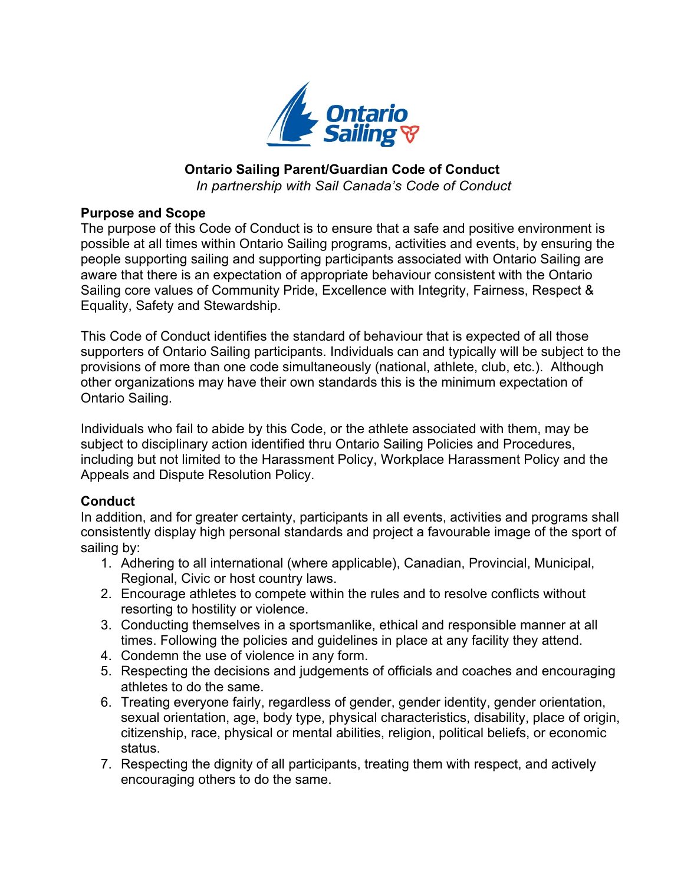

## **Ontario Sailing Parent/Guardian Code of Conduct**

*In partnership with Sail Canada's Code of Conduct*

## **Purpose and Scope**

The purpose of this Code of Conduct is to ensure that a safe and positive environment is possible at all times within Ontario Sailing programs, activities and events, by ensuring the people supporting sailing and supporting participants associated with Ontario Sailing are aware that there is an expectation of appropriate behaviour consistent with the Ontario Sailing core values of Community Pride, Excellence with Integrity, Fairness, Respect & Equality, Safety and Stewardship.

This Code of Conduct identifies the standard of behaviour that is expected of all those supporters of Ontario Sailing participants. Individuals can and typically will be subject to the provisions of more than one code simultaneously (national, athlete, club, etc.). Although other organizations may have their own standards this is the minimum expectation of Ontario Sailing.

Individuals who fail to abide by this Code, or the athlete associated with them, may be subject to disciplinary action identified thru Ontario Sailing Policies and Procedures, including but not limited to the Harassment Policy, Workplace Harassment Policy and the Appeals and Dispute Resolution Policy.

## **Conduct**

In addition, and for greater certainty, participants in all events, activities and programs shall consistently display high personal standards and project a favourable image of the sport of sailing by:

- 1. Adhering to all international (where applicable), Canadian, Provincial, Municipal, Regional, Civic or host country laws.
- 2. Encourage athletes to compete within the rules and to resolve conflicts without resorting to hostility or violence.
- 3. Conducting themselves in a sportsmanlike, ethical and responsible manner at all times. Following the policies and guidelines in place at any facility they attend.
- 4. Condemn the use of violence in any form.
- 5. Respecting the decisions and judgements of officials and coaches and encouraging athletes to do the same.
- 6. Treating everyone fairly, regardless of gender, gender identity, gender orientation, sexual orientation, age, body type, physical characteristics, disability, place of origin, citizenship, race, physical or mental abilities, religion, political beliefs, or economic status.
- 7. Respecting the dignity of all participants, treating them with respect, and actively encouraging others to do the same.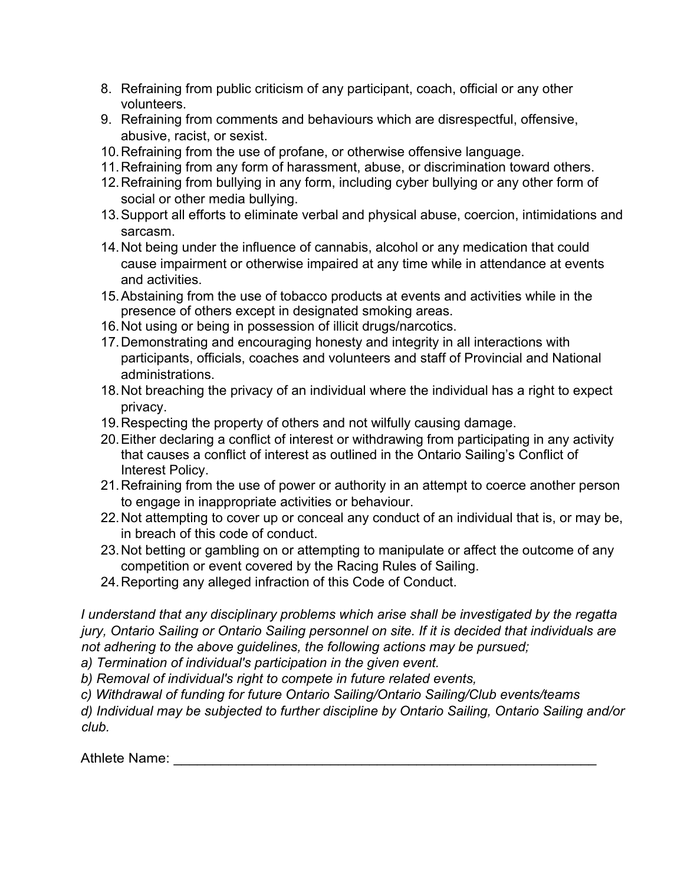- 8. Refraining from public criticism of any participant, coach, official or any other volunteers.
- 9. Refraining from comments and behaviours which are disrespectful, offensive, abusive, racist, or sexist.
- 10.Refraining from the use of profane, or otherwise offensive language.
- 11.Refraining from any form of harassment, abuse, or discrimination toward others.
- 12.Refraining from bullying in any form, including cyber bullying or any other form of social or other media bullying.
- 13.Support all efforts to eliminate verbal and physical abuse, coercion, intimidations and sarcasm.
- 14.Not being under the influence of cannabis, alcohol or any medication that could cause impairment or otherwise impaired at any time while in attendance at events and activities.
- 15.Abstaining from the use of tobacco products at events and activities while in the presence of others except in designated smoking areas.
- 16.Not using or being in possession of illicit drugs/narcotics.
- 17.Demonstrating and encouraging honesty and integrity in all interactions with participants, officials, coaches and volunteers and staff of Provincial and National administrations.
- 18.Not breaching the privacy of an individual where the individual has a right to expect privacy.
- 19.Respecting the property of others and not wilfully causing damage.
- 20.Either declaring a conflict of interest or withdrawing from participating in any activity that causes a conflict of interest as outlined in the Ontario Sailing's Conflict of Interest Policy.
- 21.Refraining from the use of power or authority in an attempt to coerce another person to engage in inappropriate activities or behaviour.
- 22.Not attempting to cover up or conceal any conduct of an individual that is, or may be, in breach of this code of conduct.
- 23.Not betting or gambling on or attempting to manipulate or affect the outcome of any competition or event covered by the Racing Rules of Sailing.
- 24.Reporting any alleged infraction of this Code of Conduct.

*I understand that any disciplinary problems which arise shall be investigated by the regatta jury, Ontario Sailing or Ontario Sailing personnel on site. If it is decided that individuals are not adhering to the above guidelines, the following actions may be pursued;* 

*a) Termination of individual's participation in the given event.* 

*b) Removal of individual's right to compete in future related events,* 

*c) Withdrawal of funding for future Ontario Sailing/Ontario Sailing/Club events/teams* 

*d) Individual may be subjected to further discipline by Ontario Sailing, Ontario Sailing and/or club.*

Athlete Name: **Athlete** Name: **Athlete** Name: **Athletic**